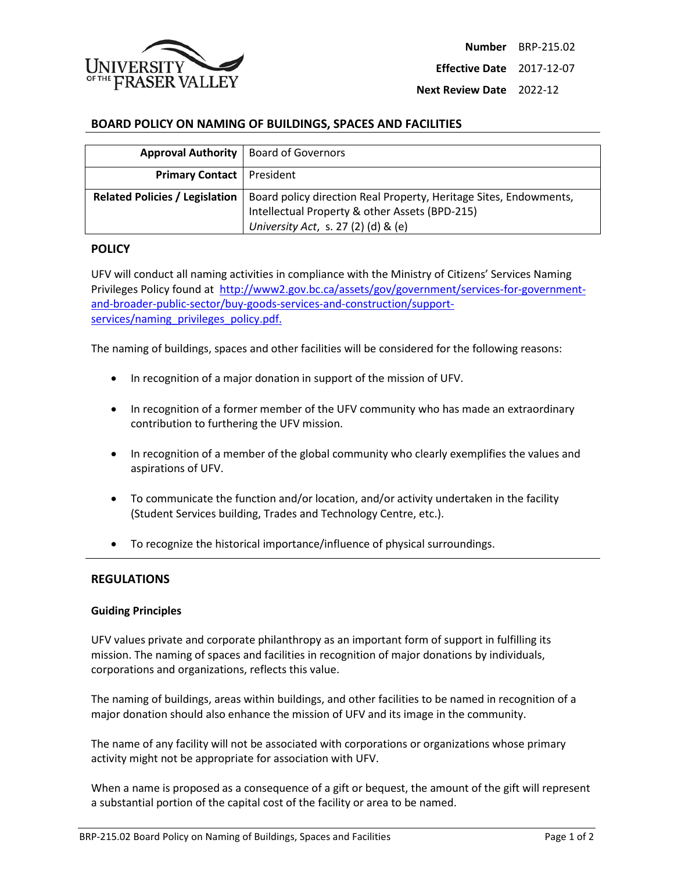

**Effective Date** 2017-12-07

**Next Review Date** 2022-12

## **BOARD POLICY ON NAMING OF BUILDINGS, SPACES AND FACILITIES**

| <b>Approval Authority   Board of Governors</b> |                                                                                                                                                            |
|------------------------------------------------|------------------------------------------------------------------------------------------------------------------------------------------------------------|
| <b>Primary Contact</b>   President             |                                                                                                                                                            |
| <b>Related Policies / Legislation</b>          | Board policy direction Real Property, Heritage Sites, Endowments,<br>Intellectual Property & other Assets (BPD-215)<br>University Act, s. 27 (2) (d) & (e) |

## **POLICY**

UFV will conduct all naming activities in compliance with the Ministry of Citizens' Services Naming Privileges Policy found at http://www2.gov.bc.ca/assets/gov/government/services-for-governmentand-broader-public-sector/buy-goods-services-and-construction/supportservices/naming\_privileges\_policy.pdf.

The naming of buildings, spaces and other facilities will be considered for the following reasons:

- In recognition of a major donation in support of the mission of UFV.
- In recognition of a former member of the UFV community who has made an extraordinary contribution to furthering the UFV mission.
- In recognition of a member of the global community who clearly exemplifies the values and aspirations of UFV.
- To communicate the function and/or location, and/or activity undertaken in the facility (Student Services building, Trades and Technology Centre, etc.).
- To recognize the historical importance/influence of physical surroundings.

#### **REGULATIONS**

#### **Guiding Principles**

UFV values private and corporate philanthropy as an important form of support in fulfilling its mission. The naming of spaces and facilities in recognition of major donations by individuals, corporations and organizations, reflects this value.

The naming of buildings, areas within buildings, and other facilities to be named in recognition of a major donation should also enhance the mission of UFV and its image in the community.

The name of any facility will not be associated with corporations or organizations whose primary activity might not be appropriate for association with UFV.

When a name is proposed as a consequence of a gift or bequest, the amount of the gift will represent a substantial portion of the capital cost of the facility or area to be named.